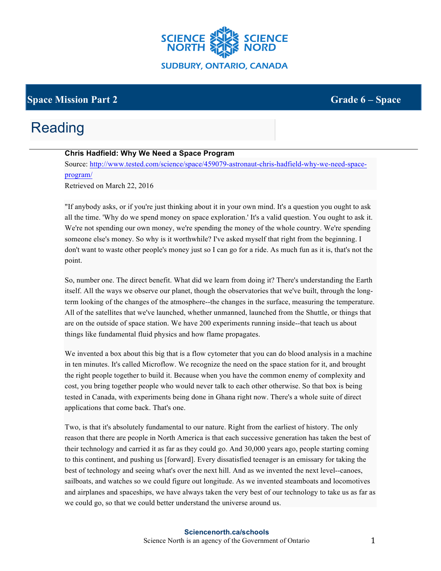

### **Space Mission Part 2** Grade **6** – **Space**

# Reading

#### **Chris Hadfield: Why We Need a Space Program**

Source: http://www.tested.com/science/space/459079-astronaut-chris-hadfield-why-we-need-spaceprogram/

Retrieved on March 22, 2016

"If anybody asks, or if you're just thinking about it in your own mind. It's a question you ought to ask all the time. 'Why do we spend money on space exploration.' It's a valid question. You ought to ask it. We're not spending our own money, we're spending the money of the whole country. We're spending someone else's money. So why is it worthwhile? I've asked myself that right from the beginning. I don't want to waste other people's money just so I can go for a ride. As much fun as it is, that's not the point.

So, number one. The direct benefit. What did we learn from doing it? There's understanding the Earth itself. All the ways we observe our planet, though the observatories that we've built, through the longterm looking of the changes of the atmosphere--the changes in the surface, measuring the temperature. All of the satellites that we've launched, whether unmanned, launched from the Shuttle, or things that are on the outside of space station. We have 200 experiments running inside--that teach us about things like fundamental fluid physics and how flame propagates.

We invented a box about this big that is a flow cytometer that you can do blood analysis in a machine in ten minutes. It's called Microflow. We recognize the need on the space station for it, and brought the right people together to build it. Because when you have the common enemy of complexity and cost, you bring together people who would never talk to each other otherwise. So that box is being tested in Canada, with experiments being done in Ghana right now. There's a whole suite of direct applications that come back. That's one.

Two, is that it's absolutely fundamental to our nature. Right from the earliest of history. The only reason that there are people in North America is that each successive generation has taken the best of their technology and carried it as far as they could go. And 30,000 years ago, people starting coming to this continent, and pushing us [forward]. Every dissatisfied teenager is an emissary for taking the best of technology and seeing what's over the next hill. And as we invented the next level--canoes, sailboats, and watches so we could figure out longitude. As we invented steamboats and locomotives and airplanes and spaceships, we have always taken the very best of our technology to take us as far as we could go, so that we could better understand the universe around us.